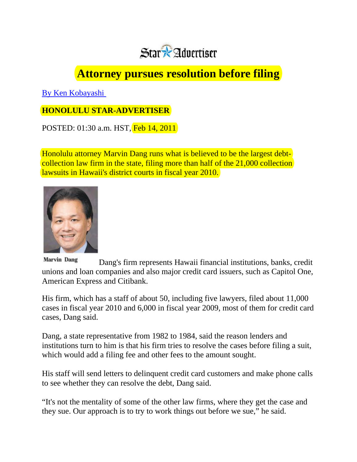

## **Attorney pursues resolution before filing**

[By Ken Kobayashi](mailto:kkobayashi@staradvertiser.com) 

## **HONOLULU STAR-ADVERTISER**

POSTED: 01:30 a.m. HST, Feb 14, 2011

Honolulu attorney Marvin Dang runs what is believed to be the largest debtcollection law firm in the state, filing more than half of the 21,000 collection lawsuits in Hawaii's district courts in fiscal year 2010.



**Marvin Dang** Dang's firm represents Hawaii financial institutions, banks, credit unions and loan companies and also major credit card issuers, such as Capitol One, American Express and Citibank.

His firm, which has a staff of about 50, including five lawyers, filed about 11,000 cases in fiscal year 2010 and 6,000 in fiscal year 2009, most of them for credit card cases, Dang said.

Dang, a state representative from 1982 to 1984, said the reason lenders and institutions turn to him is that his firm tries to resolve the cases before filing a suit, which would add a filing fee and other fees to the amount sought.

His staff will send letters to delinquent credit card customers and make phone calls to see whether they can resolve the debt, Dang said.

"It's not the mentality of some of the other law firms, where they get the case and they sue. Our approach is to try to work things out before we sue," he said.